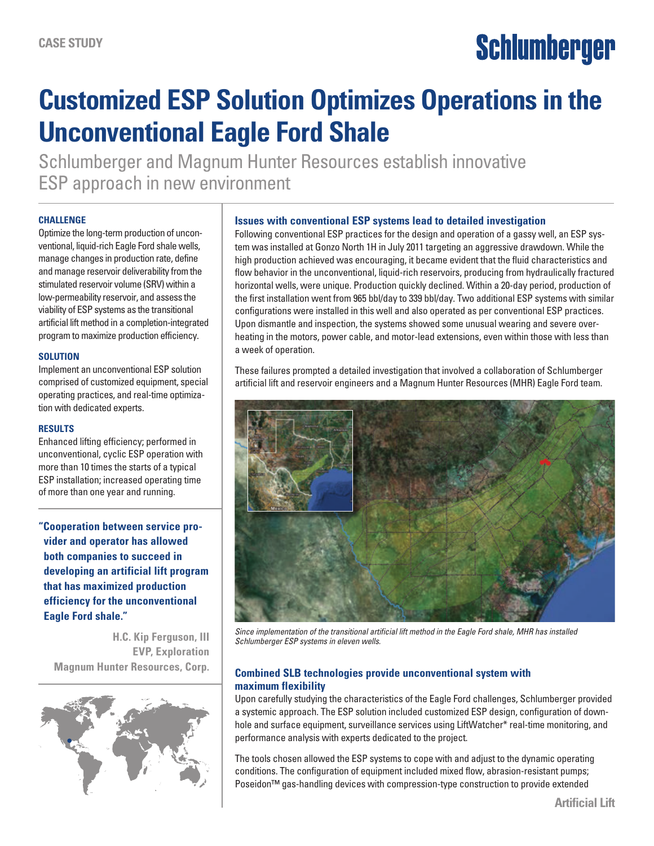# Schlumberger

## **Customized ESP Solution Optimizes Operations in the Unconventional Eagle Ford Shale**

Schlumberger and Magnum Hunter Resources establish innovative ESP approach in new environment

#### **Challenge**

Optimize the long-term production of unconventional, liquid-rich Eagle Ford shale wells, manage changes in production rate, define and manage reservoir deliverability from the stimulated reservoir volume (SRV) within a low-permeability reservoir, and assess the viability of ESP systems as the transitional artificial lift method in a completion-integrated program to maximize production efficiency.

#### **Solution**

Implement an unconventional ESP solution comprised of customized equipment, special operating practices, and real-time optimization with dedicated experts.

#### **Results**

Enhanced lifting efficiency; performed in unconventional, cyclic ESP operation with more than 10 times the starts of a typical ESP installation; increased operating time of more than one year and running.

**"Cooperation between service provider and operator has allowed both companies to succeed in developing an artificial lift program that has maximized production efficiency for the unconventional Eagle Ford shale."**

**H.C. Kip Ferguson, III EVP, Exploration Magnum Hunter Resources, Corp.**



#### **Issues with conventional ESP systems lead to detailed investigation**

Following conventional ESP practices for the design and operation of a gassy well, an ESP system was installed at Gonzo North 1H in July 2011 targeting an aggressive drawdown. While the high production achieved was encouraging, it became evident that the fluid characteristics and flow behavior in the unconventional, liquid-rich reservoirs, producing from hydraulically fractured horizontal wells, were unique. Production quickly declined. Within a 20-day period, production of the first installation went from 965 bbl/day to 339 bbl/day. Two additional ESP systems with similar configurations were installed in this well and also operated as per conventional ESP practices. Upon dismantle and inspection, the systems showed some unusual wearing and severe overheating in the motors, power cable, and motor-lead extensions, even within those with less than a week of operation.

These failures prompted a detailed investigation that involved a collaboration of Schlumberger artificial lift and reservoir engineers and a Magnum Hunter Resources (MHR) Eagle Ford team.



*Since implementation of the transitional artificial lift method in the Eagle Ford shale, MHR has installed Schlumberger ESP systems in eleven wells.* 

#### **Combined SLB technologies provide unconventional system with maximum flexibility**

Upon carefully studying the characteristics of the Eagle Ford challenges, Schlumberger provided a systemic approach. The ESP solution included customized ESP design, configuration of downhole and surface equipment, surveillance services using LiftWatcher\* real-time monitoring, and performance analysis with experts dedicated to the project.

The tools chosen allowed the ESP systems to cope with and adjust to the dynamic operating conditions. The configuration of equipment included mixed flow, abrasion-resistant pumps; Poseidon™ gas-handling devices with compression-type construction to provide extended